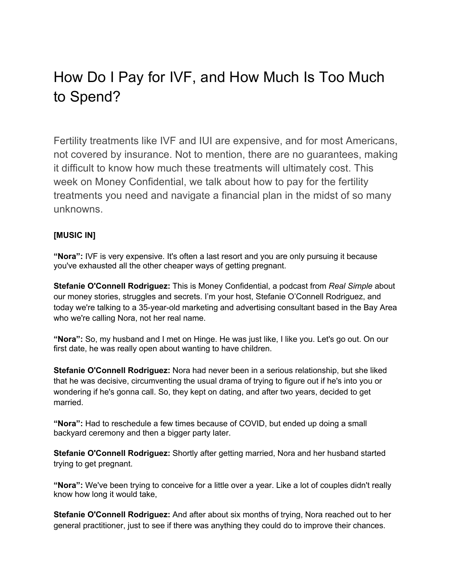# How Do I Pay for IVF, and How Much Is Too Much to Spend?

Fertility treatments like IVF and IUI are expensive, and for most Americans, not covered by insurance. Not to mention, there are no guarantees, making it difficult to know how much these treatments will ultimately cost. This week on Money Confidential, we talk about how to pay for the fertility treatments you need and navigate a financial plan in the midst of so many unknowns.

## **[MUSIC IN]**

**"Nora":** IVF is very expensive. It's often a last resort and you are only pursuing it because you've exhausted all the other cheaper ways of getting pregnant.

**Stefanie O'Connell Rodriguez:** This is Money Confidential, a podcast from *Real Simple* about our money stories, struggles and secrets. I'm your host, Stefanie O'Connell Rodriguez, and today we're talking to a 35-year-old marketing and advertising consultant based in the Bay Area who we're calling Nora, not her real name.

**"Nora":** So, my husband and I met on Hinge. He was just like, I like you. Let's go out. On our first date, he was really open about wanting to have children.

**Stefanie O'Connell Rodriguez:** Nora had never been in a serious relationship, but she liked that he was decisive, circumventing the usual drama of trying to figure out if he's into you or wondering if he's gonna call. So, they kept on dating, and after two years, decided to get married.

**"Nora":** Had to reschedule a few times because of COVID, but ended up doing a small backyard ceremony and then a bigger party later.

**Stefanie O'Connell Rodriguez:** Shortly after getting married, Nora and her husband started trying to get pregnant.

**"Nora":** We've been trying to conceive for a little over a year. Like a lot of couples didn't really know how long it would take,

**Stefanie O'Connell Rodriguez:** And after about six months of trying, Nora reached out to her general practitioner, just to see if there was anything they could do to improve their chances.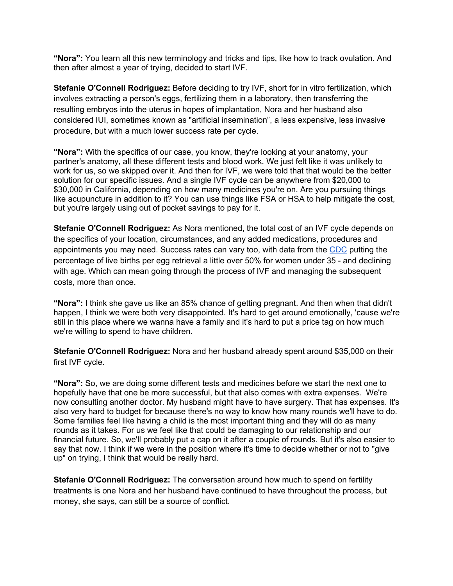**"Nora":** You learn all this new terminology and tricks and tips, like how to track ovulation. And then after almost a year of trying, decided to start IVF.

**Stefanie O'Connell Rodriguez:** Before deciding to try IVF, short for in vitro fertilization, which involves extracting a person's eggs, fertilizing them in a laboratory, then transferring the resulting embryos into the uterus in hopes of implantation, Nora and her husband also considered IUI, sometimes known as "artificial insemination", a less expensive, less invasive procedure, but with a much lower success rate per cycle.

**"Nora":** With the specifics of our case, you know, they're looking at your anatomy, your partner's anatomy, all these different tests and blood work. We just felt like it was unlikely to work for us, so we skipped over it. And then for IVF, we were told that that would be the better solution for our specific issues. And a single IVF cycle can be anywhere from \$20,000 to \$30,000 in California, depending on how many medicines you're on. Are you pursuing things like acupuncture in addition to it? You can use things like FSA or HSA to help mitigate the cost, but you're largely using out of pocket savings to pay for it.

**Stefanie O'Connell Rodriguez:** As Nora mentioned, the total cost of an IVF cycle depends on the specifics of your location, circumstances, and any added medications, procedures and appointments you may need. Success rates can vary too, with data from the CDC putting the percentage of live births per egg retrieval a little over 50% for women under 35 - and declining with age. Which can mean going through the process of IVF and managing the subsequent costs, more than once.

**"Nora":** I think she gave us like an 85% chance of getting pregnant. And then when that didn't happen, I think we were both very disappointed. It's hard to get around emotionally, 'cause we're still in this place where we wanna have a family and it's hard to put a price tag on how much we're willing to spend to have children.

**Stefanie O'Connell Rodriguez:** Nora and her husband already spent around \$35,000 on their first IVF cycle.

**"Nora":** So, we are doing some different tests and medicines before we start the next one to hopefully have that one be more successful, but that also comes with extra expenses. We're now consulting another doctor. My husband might have to have surgery. That has expenses. It's also very hard to budget for because there's no way to know how many rounds we'll have to do. Some families feel like having a child is the most important thing and they will do as many rounds as it takes. For us we feel like that could be damaging to our relationship and our financial future. So, we'll probably put a cap on it after a couple of rounds. But it's also easier to say that now. I think if we were in the position where it's time to decide whether or not to "give up" on trying, I think that would be really hard.

**Stefanie O'Connell Rodriguez:** The conversation around how much to spend on fertility treatments is one Nora and her husband have continued to have throughout the process, but money, she says, can still be a source of conflict.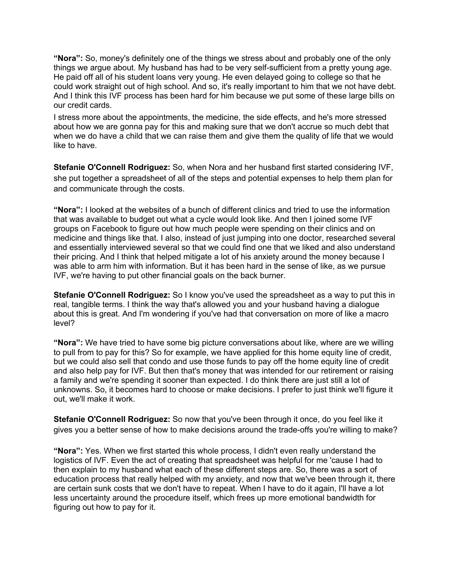**"Nora":** So, money's definitely one of the things we stress about and probably one of the only things we argue about. My husband has had to be very self-sufficient from a pretty young age. He paid off all of his student loans very young. He even delayed going to college so that he could work straight out of high school. And so, it's really important to him that we not have debt. And I think this IVF process has been hard for him because we put some of these large bills on our credit cards.

I stress more about the appointments, the medicine, the side effects, and he's more stressed about how we are gonna pay for this and making sure that we don't accrue so much debt that when we do have a child that we can raise them and give them the quality of life that we would like to have.

**Stefanie O'Connell Rodriguez:** So, when Nora and her husband first started considering IVF, she put together a spreadsheet of all of the steps and potential expenses to help them plan for and communicate through the costs.

**"Nora":** I looked at the websites of a bunch of different clinics and tried to use the information that was available to budget out what a cycle would look like. And then I joined some IVF groups on Facebook to figure out how much people were spending on their clinics and on medicine and things like that. I also, instead of just jumping into one doctor, researched several and essentially interviewed several so that we could find one that we liked and also understand their pricing. And I think that helped mitigate a lot of his anxiety around the money because I was able to arm him with information. But it has been hard in the sense of like, as we pursue IVF, we're having to put other financial goals on the back burner.

**Stefanie O'Connell Rodriguez:** So I know you've used the spreadsheet as a way to put this in real, tangible terms. I think the way that's allowed you and your husband having a dialogue about this is great. And I'm wondering if you've had that conversation on more of like a macro level?

**"Nora":** We have tried to have some big picture conversations about like, where are we willing to pull from to pay for this? So for example, we have applied for this home equity line of credit, but we could also sell that condo and use those funds to pay off the home equity line of credit and also help pay for IVF. But then that's money that was intended for our retirement or raising a family and we're spending it sooner than expected. I do think there are just still a lot of unknowns. So, it becomes hard to choose or make decisions. I prefer to just think we'll figure it out, we'll make it work.

**Stefanie O'Connell Rodriguez:** So now that you've been through it once, do you feel like it gives you a better sense of how to make decisions around the trade-offs you're willing to make?

**"Nora":** Yes. When we first started this whole process, I didn't even really understand the logistics of IVF. Even the act of creating that spreadsheet was helpful for me 'cause I had to then explain to my husband what each of these different steps are. So, there was a sort of education process that really helped with my anxiety, and now that we've been through it, there are certain sunk costs that we don't have to repeat. When I have to do it again, I'll have a lot less uncertainty around the procedure itself, which frees up more emotional bandwidth for figuring out how to pay for it.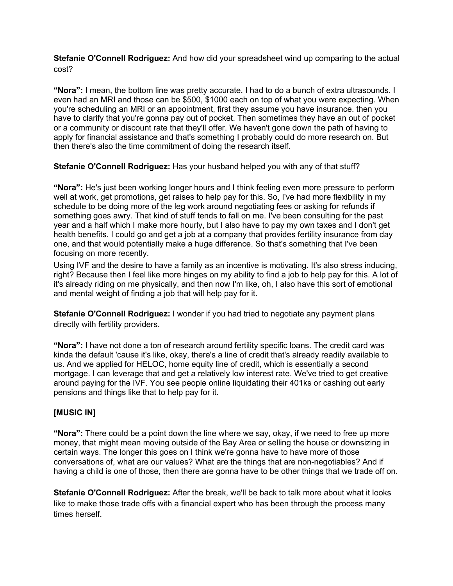**Stefanie O'Connell Rodriguez:** And how did your spreadsheet wind up comparing to the actual cost?

**"Nora":** I mean, the bottom line was pretty accurate. I had to do a bunch of extra ultrasounds. I even had an MRI and those can be \$500, \$1000 each on top of what you were expecting. When you're scheduling an MRI or an appointment, first they assume you have insurance. then you have to clarify that you're gonna pay out of pocket. Then sometimes they have an out of pocket or a community or discount rate that they'll offer. We haven't gone down the path of having to apply for financial assistance and that's something I probably could do more research on. But then there's also the time commitment of doing the research itself.

**Stefanie O'Connell Rodriguez:** Has your husband helped you with any of that stuff?

**"Nora":** He's just been working longer hours and I think feeling even more pressure to perform well at work, get promotions, get raises to help pay for this. So, I've had more flexibility in my schedule to be doing more of the leg work around negotiating fees or asking for refunds if something goes awry. That kind of stuff tends to fall on me. I've been consulting for the past year and a half which I make more hourly, but I also have to pay my own taxes and I don't get health benefits. I could go and get a job at a company that provides fertility insurance from day one, and that would potentially make a huge difference. So that's something that I've been focusing on more recently.

Using IVF and the desire to have a family as an incentive is motivating. It's also stress inducing, right? Because then I feel like more hinges on my ability to find a job to help pay for this. A lot of it's already riding on me physically, and then now I'm like, oh, I also have this sort of emotional and mental weight of finding a job that will help pay for it.

**Stefanie O'Connell Rodriguez:** I wonder if you had tried to negotiate any payment plans directly with fertility providers.

**"Nora":** I have not done a ton of research around fertility specific loans. The credit card was kinda the default 'cause it's like, okay, there's a line of credit that's already readily available to us. And we applied for HELOC, home equity line of credit, which is essentially a second mortgage. I can leverage that and get a relatively low interest rate. We've tried to get creative around paying for the IVF. You see people online liquidating their 401ks or cashing out early pensions and things like that to help pay for it.

### **[MUSIC IN]**

**"Nora":** There could be a point down the line where we say, okay, if we need to free up more money, that might mean moving outside of the Bay Area or selling the house or downsizing in certain ways. The longer this goes on I think we're gonna have to have more of those conversations of, what are our values? What are the things that are non-negotiables? And if having a child is one of those, then there are gonna have to be other things that we trade off on.

**Stefanie O'Connell Rodriguez:** After the break, we'll be back to talk more about what it looks like to make those trade offs with a financial expert who has been through the process many times herself.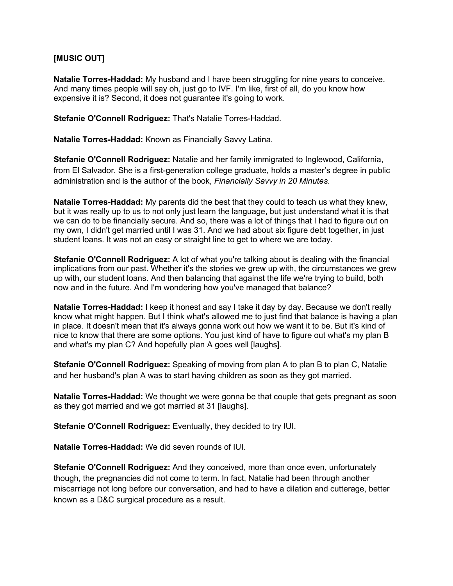### **[MUSIC OUT]**

**Natalie Torres-Haddad:** My husband and I have been struggling for nine years to conceive. And many times people will say oh, just go to IVF. I'm like, first of all, do you know how expensive it is? Second, it does not guarantee it's going to work.

**Stefanie O'Connell Rodriguez:** That's Natalie Torres-Haddad.

**Natalie Torres-Haddad:** Known as Financially Savvy Latina.

**Stefanie O'Connell Rodriguez:** Natalie and her family immigrated to Inglewood, California, from El Salvador. She is a first-generation college graduate, holds a master's degree in public administration and is the author of the book, *Financially Savvy in 20 Minutes*.

**Natalie Torres-Haddad:** My parents did the best that they could to teach us what they knew, but it was really up to us to not only just learn the language, but just understand what it is that we can do to be financially secure. And so, there was a lot of things that I had to figure out on my own, I didn't get married until I was 31. And we had about six figure debt together, in just student loans. It was not an easy or straight line to get to where we are today.

**Stefanie O'Connell Rodriguez:** A lot of what you're talking about is dealing with the financial implications from our past. Whether it's the stories we grew up with, the circumstances we grew up with, our student loans. And then balancing that against the life we're trying to build, both now and in the future. And I'm wondering how you've managed that balance?

**Natalie Torres-Haddad:** I keep it honest and say I take it day by day. Because we don't really know what might happen. But I think what's allowed me to just find that balance is having a plan in place. It doesn't mean that it's always gonna work out how we want it to be. But it's kind of nice to know that there are some options. You just kind of have to figure out what's my plan B and what's my plan C? And hopefully plan A goes well [laughs].

**Stefanie O'Connell Rodriguez:** Speaking of moving from plan A to plan B to plan C, Natalie and her husband's plan A was to start having children as soon as they got married.

**Natalie Torres-Haddad:** We thought we were gonna be that couple that gets pregnant as soon as they got married and we got married at 31 [laughs].

**Stefanie O'Connell Rodriguez:** Eventually, they decided to try IUI.

**Natalie Torres-Haddad:** We did seven rounds of IUI.

**Stefanie O'Connell Rodriguez:** And they conceived, more than once even, unfortunately though, the pregnancies did not come to term. In fact, Natalie had been through another miscarriage not long before our conversation, and had to have a dilation and cutterage, better known as a D&C surgical procedure as a result.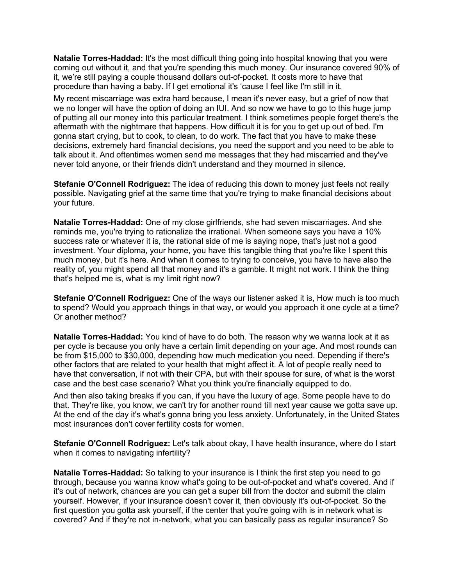**Natalie Torres-Haddad:** It's the most difficult thing going into hospital knowing that you were coming out without it, and that you're spending this much money. Our insurance covered 90% of it, we're still paying a couple thousand dollars out-of-pocket. It costs more to have that procedure than having a baby. If I get emotional it's 'cause I feel like I'm still in it.

My recent miscarriage was extra hard because, I mean it's never easy, but a grief of now that we no longer will have the option of doing an IUI. And so now we have to go to this huge jump of putting all our money into this particular treatment. I think sometimes people forget there's the aftermath with the nightmare that happens. How difficult it is for you to get up out of bed. I'm gonna start crying, but to cook, to clean, to do work. The fact that you have to make these decisions, extremely hard financial decisions, you need the support and you need to be able to talk about it. And oftentimes women send me messages that they had miscarried and they've never told anyone, or their friends didn't understand and they mourned in silence.

**Stefanie O'Connell Rodriguez:** The idea of reducing this down to money just feels not really possible. Navigating grief at the same time that you're trying to make financial decisions about your future.

**Natalie Torres-Haddad:** One of my close girlfriends, she had seven miscarriages. And she reminds me, you're trying to rationalize the irrational. When someone says you have a 10% success rate or whatever it is, the rational side of me is saying nope, that's just not a good investment. Your diploma, your home, you have this tangible thing that you're like I spent this much money, but it's here. And when it comes to trying to conceive, you have to have also the reality of, you might spend all that money and it's a gamble. It might not work. I think the thing that's helped me is, what is my limit right now?

**Stefanie O'Connell Rodriguez:** One of the ways our listener asked it is, How much is too much to spend? Would you approach things in that way, or would you approach it one cycle at a time? Or another method?

**Natalie Torres-Haddad:** You kind of have to do both. The reason why we wanna look at it as per cycle is because you only have a certain limit depending on your age. And most rounds can be from \$15,000 to \$30,000, depending how much medication you need. Depending if there's other factors that are related to your health that might affect it. A lot of people really need to have that conversation, if not with their CPA, but with their spouse for sure, of what is the worst case and the best case scenario? What you think you're financially equipped to do.

And then also taking breaks if you can, if you have the luxury of age. Some people have to do that. They're like, you know, we can't try for another round till next year cause we gotta save up. At the end of the day it's what's gonna bring you less anxiety. Unfortunately, in the United States most insurances don't cover fertility costs for women.

**Stefanie O'Connell Rodriguez:** Let's talk about okay, I have health insurance, where do I start when it comes to navigating infertility?

**Natalie Torres-Haddad:** So talking to your insurance is I think the first step you need to go through, because you wanna know what's going to be out-of-pocket and what's covered. And if it's out of network, chances are you can get a super bill from the doctor and submit the claim yourself. However, if your insurance doesn't cover it, then obviously it's out-of-pocket. So the first question you gotta ask yourself, if the center that you're going with is in network what is covered? And if they're not in-network, what you can basically pass as regular insurance? So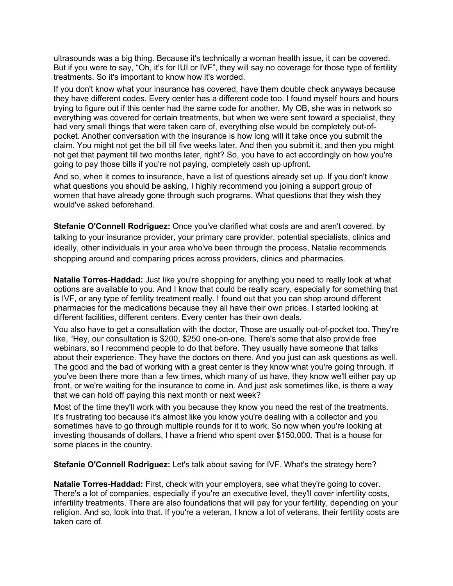ultrasounds was a big thing. Because it's technically a woman health issue, it can be covered. But if you were to say, "Oh, it's for IUI or IVF", they will say no coverage for those type of fertility treatments. So it's important to know how it's worded.

If you don't know what your insurance has covered, have them double check anyways because they have different codes. Every center has a different code too. I found myself hours and hours trying to figure out if this center had the same code for another. My OB, she was in network so everything was covered for certain treatments, but when we were sent toward a specialist, they had very small things that were taken care of, everything else would be completely out-ofpocket. Another conversation with the insurance is how long will it take once you submit the claim. You might not get the bill till five weeks later. And then you submit it, and then you might not get that payment till two months later, right? So, you have to act accordingly on how you're going to pay those bills if you're not paying, completely cash up upfront.

And so, when it comes to insurance, have a list of questions already set up. If you don't know what questions you should be asking, I highly recommend you joining a support group of women that have already gone through such programs. What questions that they wish they would've asked beforehand.

**Stefanie O'Connell Rodriguez:** Once you've clarified what costs are and aren't covered, by talking to your insurance provider, your primary care provider, potential specialists, clinics and ideally, other individuals in your area who've been through the process, Natalie recommends shopping around and comparing prices across providers, clinics and pharmacies.

**Natalie Torres-Haddad:** Just like you're shopping for anything you need to really look at what options are available to you. And I know that could be really scary, especially for something that is IVF, or any type of fertility treatment really. I found out that you can shop around different pharmacies for the medications because they all have their own prices. I started looking at different facilities, different centers. Every center has their own deals.

You also have to get a consultation with the doctor, Those are usually out-of-pocket too. They're like, "Hey, our consultation is \$200, \$250 one-on-one. There's some that also provide free webinars, so I recommend people to do that before. They usually have someone that talks about their experience. They have the doctors on there. And you just can ask questions as well. The good and the bad of working with a great center is they know what you're going through. If you've been there more than a few times, which many of us have, they know we'll either pay up front, or we're waiting for the insurance to come in. And just ask sometimes like, is there a way that we can hold off paying this next month or next week?

Most of the time they'll work with you because they know you need the rest of the treatments. It's frustrating too because it's almost like you know you're dealing with a collector and you sometimes have to go through multiple rounds for it to work. So now when you're looking at investing thousands of dollars, I have a friend who spent over \$150,000. That is a house for some places in the country.

**Stefanie O'Connell Rodriguez:** Let's talk about saving for IVF. What's the strategy here?

**Natalie Torres-Haddad:** First, check with your employers, see what they're going to cover. There's a lot of companies, especially if you're an executive level, they'll cover infertility costs, infertility treatments. There are also foundations that will pay for your fertility, depending on your religion. And so, look into that. If you're a veteran, I know a lot of veterans, their fertility costs are taken care of.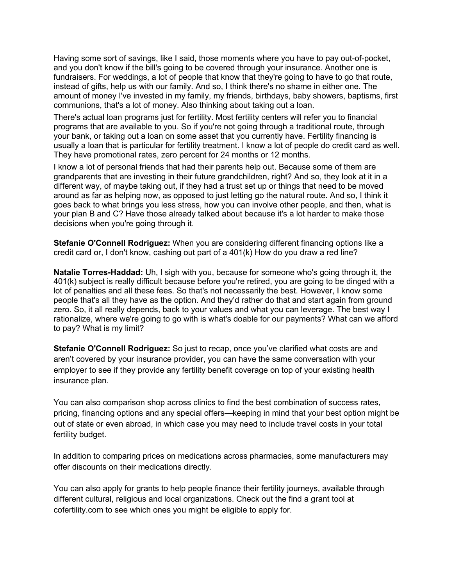Having some sort of savings, like I said, those moments where you have to pay out-of-pocket, and you don't know if the bill's going to be covered through your insurance. Another one is fundraisers. For weddings, a lot of people that know that they're going to have to go that route, instead of gifts, help us with our family. And so, I think there's no shame in either one. The amount of money I've invested in my family, my friends, birthdays, baby showers, baptisms, first communions, that's a lot of money. Also thinking about taking out a loan.

There's actual loan programs just for fertility. Most fertility centers will refer you to financial programs that are available to you. So if you're not going through a traditional route, through your bank, or taking out a loan on some asset that you currently have. Fertility financing is usually a loan that is particular for fertility treatment. I know a lot of people do credit card as well. They have promotional rates, zero percent for 24 months or 12 months.

I know a lot of personal friends that had their parents help out. Because some of them are grandparents that are investing in their future grandchildren, right? And so, they look at it in a different way, of maybe taking out, if they had a trust set up or things that need to be moved around as far as helping now, as opposed to just letting go the natural route. And so, I think it goes back to what brings you less stress, how you can involve other people, and then, what is your plan B and C? Have those already talked about because it's a lot harder to make those decisions when you're going through it.

**Stefanie O'Connell Rodriguez:** When you are considering different financing options like a credit card or, I don't know, cashing out part of a 401(k) How do you draw a red line?

**Natalie Torres-Haddad:** Uh, I sigh with you, because for someone who's going through it, the 401(k) subject is really difficult because before you're retired, you are going to be dinged with a lot of penalties and all these fees. So that's not necessarily the best. However, I know some people that's all they have as the option. And they'd rather do that and start again from ground zero. So, it all really depends, back to your values and what you can leverage. The best way I rationalize, where we're going to go with is what's doable for our payments? What can we afford to pay? What is my limit?

**Stefanie O'Connell Rodriguez:** So just to recap, once you've clarified what costs are and aren't covered by your insurance provider, you can have the same conversation with your employer to see if they provide any fertility benefit coverage on top of your existing health insurance plan.

You can also comparison shop across clinics to find the best combination of success rates, pricing, financing options and any special offers—keeping in mind that your best option might be out of state or even abroad, in which case you may need to include travel costs in your total fertility budget.

In addition to comparing prices on medications across pharmacies, some manufacturers may offer discounts on their medications directly.

You can also apply for grants to help people finance their fertility journeys, available through different cultural, religious and local organizations. Check out the find a grant tool at cofertility.com to see which ones you might be eligible to apply for.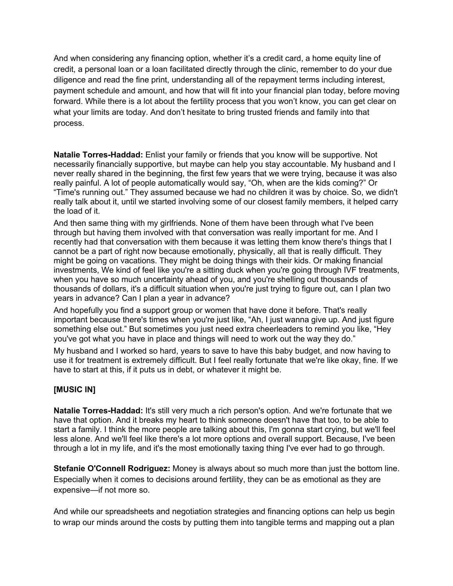And when considering any financing option, whether it's a credit card, a home equity line of credit, a personal loan or a loan facilitated directly through the clinic, remember to do your due diligence and read the fine print, understanding all of the repayment terms including interest, payment schedule and amount, and how that will fit into your financial plan today, before moving forward. While there is a lot about the fertility process that you won't know, you can get clear on what your limits are today. And don't hesitate to bring trusted friends and family into that process.

**Natalie Torres-Haddad:** Enlist your family or friends that you know will be supportive. Not necessarily financially supportive, but maybe can help you stay accountable. My husband and I never really shared in the beginning, the first few years that we were trying, because it was also really painful. A lot of people automatically would say, "Oh, when are the kids coming?" Or "Time's running out." They assumed because we had no children it was by choice. So, we didn't really talk about it, until we started involving some of our closest family members, it helped carry the load of it.

And then same thing with my girlfriends. None of them have been through what I've been through but having them involved with that conversation was really important for me. And I recently had that conversation with them because it was letting them know there's things that I cannot be a part of right now because emotionally, physically, all that is really difficult. They might be going on vacations. They might be doing things with their kids. Or making financial investments, We kind of feel like you're a sitting duck when you're going through IVF treatments, when you have so much uncertainty ahead of you, and you're shelling out thousands of thousands of dollars, it's a difficult situation when you're just trying to figure out, can I plan two years in advance? Can I plan a year in advance?

And hopefully you find a support group or women that have done it before. That's really important because there's times when you're just like, "Ah, I just wanna give up. And just figure something else out." But sometimes you just need extra cheerleaders to remind you like, "Hey you've got what you have in place and things will need to work out the way they do."

My husband and I worked so hard, years to save to have this baby budget, and now having to use it for treatment is extremely difficult. But I feel really fortunate that we're like okay, fine. If we have to start at this, if it puts us in debt, or whatever it might be.

### **[MUSIC IN]**

**Natalie Torres-Haddad:** It's still very much a rich person's option. And we're fortunate that we have that option. And it breaks my heart to think someone doesn't have that too, to be able to start a family. I think the more people are talking about this, I'm gonna start crying, but we'll feel less alone. And we'll feel like there's a lot more options and overall support. Because, I've been through a lot in my life, and it's the most emotionally taxing thing I've ever had to go through.

**Stefanie O'Connell Rodriguez:** Money is always about so much more than just the bottom line. Especially when it comes to decisions around fertility, they can be as emotional as they are expensive—if not more so.

And while our spreadsheets and negotiation strategies and financing options can help us begin to wrap our minds around the costs by putting them into tangible terms and mapping out a plan